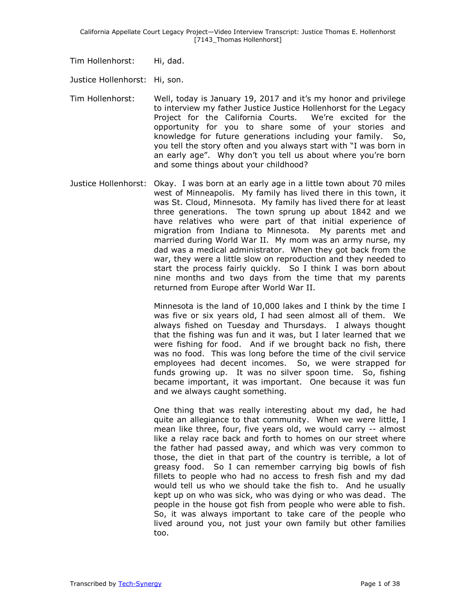Tim Hollenhorst: Hi, dad.

Justice Hollenhorst: Hi, son.

- Tim Hollenhorst: Well, today is January 19, 2017 and it's my honor and privilege to interview my father Justice Justice Hollenhorst for the Legacy Project for the California Courts. We're excited for the opportunity for you to share some of your stories and knowledge for future generations including your family. So, you tell the story often and you always start with "I was born in an early age". Why don't you tell us about where you're born and some things about your childhood?
- Justice Hollenhorst: Okay. I was born at an early age in a little town about 70 miles west of Minneapolis. My family has lived there in this town, it was St. Cloud, Minnesota. My family has lived there for at least three generations. The town sprung up about 1842 and we have relatives who were part of that initial experience of migration from Indiana to Minnesota. My parents met and married during World War II. My mom was an army nurse, my dad was a medical administrator. When they got back from the war, they were a little slow on reproduction and they needed to start the process fairly quickly. So I think I was born about nine months and two days from the time that my parents returned from Europe after World War II.

Minnesota is the land of 10,000 lakes and I think by the time I was five or six years old, I had seen almost all of them. We always fished on Tuesday and Thursdays. I always thought that the fishing was fun and it was, but I later learned that we were fishing for food. And if we brought back no fish, there was no food. This was long before the time of the civil service employees had decent incomes. So, we were strapped for funds growing up. It was no silver spoon time. So, fishing became important, it was important. One because it was fun and we always caught something.

One thing that was really interesting about my dad, he had quite an allegiance to that community. When we were little, I mean like three, four, five years old, we would carry -- almost like a relay race back and forth to homes on our street where the father had passed away, and which was very common to those, the diet in that part of the country is terrible, a lot of greasy food. So I can remember carrying big bowls of fish fillets to people who had no access to fresh fish and my dad would tell us who we should take the fish to. And he usually kept up on who was sick, who was dying or who was dead. The people in the house got fish from people who were able to fish. So, it was always important to take care of the people who lived around you, not just your own family but other families too.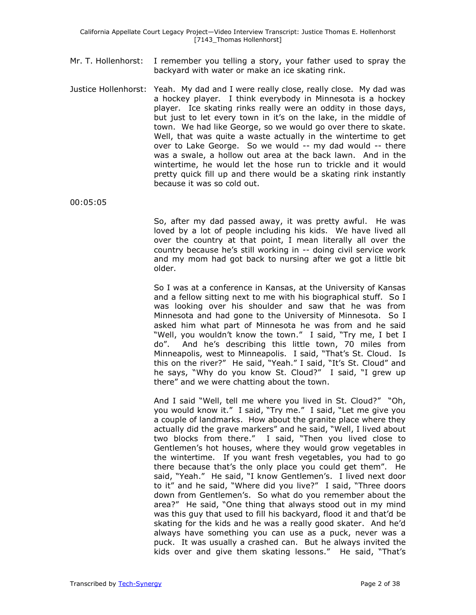- Mr. T. Hollenhorst: I remember you telling a story, your father used to spray the backyard with water or make an ice skating rink.
- Justice Hollenhorst: Yeah. My dad and I were really close, really close. My dad was a hockey player. I think everybody in Minnesota is a hockey player. Ice skating rinks really were an oddity in those days, but just to let every town in it's on the lake, in the middle of town. We had like George, so we would go over there to skate. Well, that was quite a waste actually in the wintertime to get over to Lake George. So we would -- my dad would -- there was a swale, a hollow out area at the back lawn. And in the wintertime, he would let the hose run to trickle and it would pretty quick fill up and there would be a skating rink instantly because it was so cold out.

00:05:05

So, after my dad passed away, it was pretty awful. He was loved by a lot of people including his kids. We have lived all over the country at that point, I mean literally all over the country because he's still working in -- doing civil service work and my mom had got back to nursing after we got a little bit older.

So I was at a conference in Kansas, at the University of Kansas and a fellow sitting next to me with his biographical stuff. So I was looking over his shoulder and saw that he was from Minnesota and had gone to the University of Minnesota. So I asked him what part of Minnesota he was from and he said "Well, you wouldn't know the town." I said, "Try me, I bet I do". And he's describing this little town, 70 miles from Minneapolis, west to Minneapolis. I said, "That's St. Cloud. Is this on the river?" He said, "Yeah." I said, "It's St. Cloud" and he says, "Why do you know St. Cloud?" I said, "I grew up there" and we were chatting about the town.

And I said "Well, tell me where you lived in St. Cloud?" "Oh, you would know it." I said, "Try me." I said, "Let me give you a couple of landmarks. How about the granite place where they actually did the grave markers" and he said, "Well, I lived about two blocks from there." I said, "Then you lived close to Gentlemen's hot houses, where they would grow vegetables in the wintertime. If you want fresh vegetables, you had to go there because that's the only place you could get them". He said, "Yeah." He said, "I know Gentlemen's. I lived next door to it" and he said, "Where did you live?" I said, "Three doors down from Gentlemen's. So what do you remember about the area?" He said, "One thing that always stood out in my mind was this guy that used to fill his backyard, flood it and that'd be skating for the kids and he was a really good skater. And he'd always have something you can use as a puck, never was a puck. It was usually a crashed can. But he always invited the kids over and give them skating lessons." He said, "That's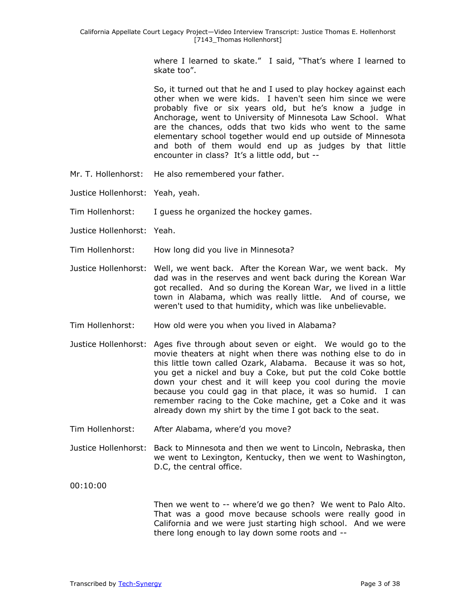where I learned to skate." I said, "That's where I learned to skate too".

So, it turned out that he and I used to play hockey against each other when we were kids. I haven't seen him since we were probably five or six years old, but he's know a judge in Anchorage, went to University of Minnesota Law School. What are the chances, odds that two kids who went to the same elementary school together would end up outside of Minnesota and both of them would end up as judges by that little encounter in class? It's a little odd, but --

- Mr. T. Hollenhorst: He also remembered your father.
- Justice Hollenhorst: Yeah, yeah.
- Tim Hollenhorst: I guess he organized the hockey games.
- Justice Hollenhorst: Yeah.
- Tim Hollenhorst: How long did you live in Minnesota?
- Justice Hollenhorst: Well, we went back. After the Korean War, we went back. My dad was in the reserves and went back during the Korean War got recalled. And so during the Korean War, we lived in a little town in Alabama, which was really little. And of course, we weren't used to that humidity, which was like unbelievable.
- Tim Hollenhorst: How old were you when you lived in Alabama?
- Justice Hollenhorst: Ages five through about seven or eight. We would go to the movie theaters at night when there was nothing else to do in this little town called Ozark, Alabama. Because it was so hot, you get a nickel and buy a Coke, but put the cold Coke bottle down your chest and it will keep you cool during the movie because you could gag in that place, it was so humid. I can remember racing to the Coke machine, get a Coke and it was already down my shirt by the time I got back to the seat.
- Tim Hollenhorst: After Alabama, where'd you move?
- Justice Hollenhorst: Back to Minnesota and then we went to Lincoln, Nebraska, then we went to Lexington, Kentucky, then we went to Washington, D.C, the central office.

00:10:00

Then we went to -- where'd we go then? We went to Palo Alto. That was a good move because schools were really good in California and we were just starting high school. And we were there long enough to lay down some roots and --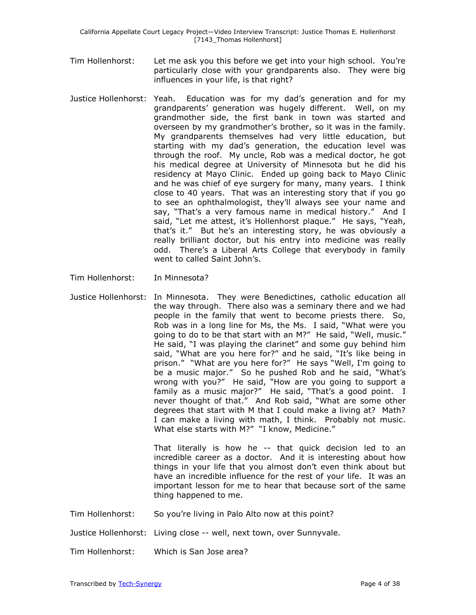- Tim Hollenhorst: Let me ask you this before we get into your high school. You're particularly close with your grandparents also. They were big influences in your life, is that right?
- Justice Hollenhorst: Yeah. Education was for my dad's generation and for my grandparents' generation was hugely different. Well, on my grandmother side, the first bank in town was started and overseen by my grandmother's brother, so it was in the family. My grandparents themselves had very little education, but starting with my dad's generation, the education level was through the roof. My uncle, Rob was a medical doctor, he got his medical degree at University of Minnesota but he did his residency at Mayo Clinic. Ended up going back to Mayo Clinic and he was chief of eye surgery for many, many years. I think close to 40 years. That was an interesting story that if you go to see an ophthalmologist, they'll always see your name and say, "That's a very famous name in medical history." And I said, "Let me attest, it's Hollenhorst plaque." He says, "Yeah, that's it." But he's an interesting story, he was obviously a really brilliant doctor, but his entry into medicine was really odd. There's a Liberal Arts College that everybody in family went to called Saint John's.
- Tim Hollenhorst: In Minnesota?
- Justice Hollenhorst: In Minnesota. They were Benedictines, catholic education all the way through. There also was a seminary there and we had people in the family that went to become priests there. So, Rob was in a long line for Ms, the Ms. I said, "What were you going to do to be that start with an M?" He said, "Well, music." He said, "I was playing the clarinet" and some guy behind him said, "What are you here for?" and he said, "It's like being in prison." "What are you here for?" He says "Well, I'm going to be a music major." So he pushed Rob and he said, "What's wrong with you?" He said, "How are you going to support a family as a music major?" He said, "That's a good point. I never thought of that." And Rob said, "What are some other degrees that start with M that I could make a living at? Math? I can make a living with math, I think. Probably not music. What else starts with M?" "I know, Medicine."

That literally is how he -- that quick decision led to an incredible career as a doctor. And it is interesting about how things in your life that you almost don't even think about but have an incredible influence for the rest of your life. It was an important lesson for me to hear that because sort of the same thing happened to me.

- Tim Hollenhorst: So you're living in Palo Alto now at this point?
- Justice Hollenhorst: Living close -- well, next town, over Sunnyvale.
- Tim Hollenhorst: Which is San Jose area?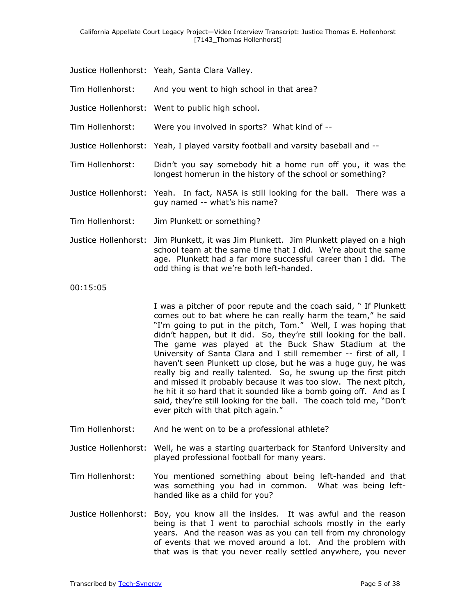Justice Hollenhorst: Yeah, Santa Clara Valley.

Tim Hollenhorst: And you went to high school in that area?

Justice Hollenhorst: Went to public high school.

Tim Hollenhorst: Were you involved in sports? What kind of --

Justice Hollenhorst: Yeah, I played varsity football and varsity baseball and --

Tim Hollenhorst: Didn't you say somebody hit a home run off you, it was the longest homerun in the history of the school or something?

Justice Hollenhorst: Yeah. In fact, NASA is still looking for the ball. There was a guy named -- what's his name?

Tim Hollenhorst: Jim Plunkett or something?

Justice Hollenhorst: Jim Plunkett, it was Jim Plunkett. Jim Plunkett played on a high school team at the same time that I did. We're about the same age. Plunkett had a far more successful career than I did. The odd thing is that we're both left-handed.

00:15:05

I was a pitcher of poor repute and the coach said, " If Plunkett comes out to bat where he can really harm the team," he said "I'm going to put in the pitch, Tom." Well, I was hoping that didn't happen, but it did. So, they're still looking for the ball. The game was played at the Buck Shaw Stadium at the University of Santa Clara and I still remember -- first of all, I haven't seen Plunkett up close, but he was a huge guy, he was really big and really talented. So, he swung up the first pitch and missed it probably because it was too slow. The next pitch, he hit it so hard that it sounded like a bomb going off. And as I said, they're still looking for the ball. The coach told me, "Don't ever pitch with that pitch again."

- Tim Hollenhorst: And he went on to be a professional athlete?
- Justice Hollenhorst: Well, he was a starting quarterback for Stanford University and played professional football for many years.
- Tim Hollenhorst: You mentioned something about being left-handed and that was something you had in common. What was being lefthanded like as a child for you?
- Justice Hollenhorst: Boy, you know all the insides. It was awful and the reason being is that I went to parochial schools mostly in the early years. And the reason was as you can tell from my chronology of events that we moved around a lot. And the problem with that was is that you never really settled anywhere, you never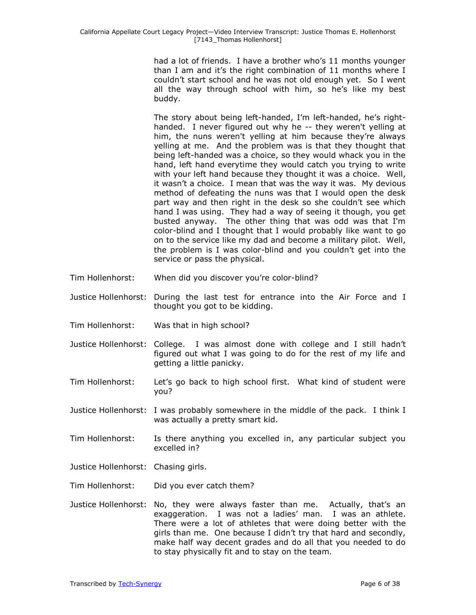had a lot of friends. I have a brother who's 11 months younger than I am and it's the right combination of 11 months where I couldn't start school and he was not old enough yet. So I went all the way through school with him, so he's like my best buddy.

The story about being left-handed, I'm left-handed, he's righthanded. I never figured out why he -- they weren't yelling at him, the nuns weren't yelling at him because they're always yelling at me. And the problem was is that they thought that being left-handed was a choice, so they would whack you in the hand, left hand everytime they would catch you trying to write with your left hand because they thought it was a choice. Well, it wasn't a choice. I mean that was the way it was. My devious method of defeating the nuns was that I would open the desk part way and then right in the desk so she couldn't see which hand I was using. They had a way of seeing it though, you get busted anyway. The other thing that was odd was that I'm color-blind and I thought that I would probably like want to go on to the service like my dad and become a military pilot. Well, the problem is I was color-blind and you couldn't get into the service or pass the physical.

- Tim Hollenhorst: When did you discover you're color-blind?
- Justice Hollenhorst: During the last test for entrance into the Air Force and I thought you got to be kidding.
- Tim Hollenhorst: Was that in high school?
- Justice Hollenhorst: College. I was almost done with college and I still hadn't figured out what I was going to do for the rest of my life and getting a little panicky.
- Tim Hollenhorst: Let's go back to high school first. What kind of student were you?
- Justice Hollenhorst: I was probably somewhere in the middle of the pack. I think I was actually a pretty smart kid.
- Tim Hollenhorst: Is there anything you excelled in, any particular subject you excelled in?
- Justice Hollenhorst: Chasing girls.
- Tim Hollenhorst: Did you ever catch them?
- Justice Hollenhorst: No, they were always faster than me. Actually, that's an exaggeration. I was not a ladies' man. I was an athlete. There were a lot of athletes that were doing better with the girls than me. One because I didn't try that hard and secondly, make half way decent grades and do all that you needed to do to stay physically fit and to stay on the team.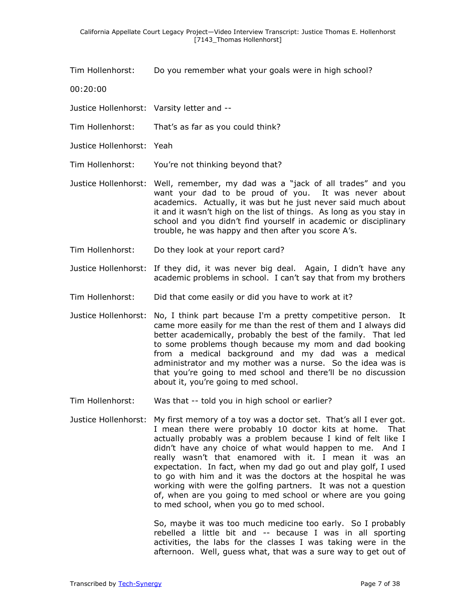Tim Hollenhorst: Do you remember what your goals were in high school?

00:20:00

- Justice Hollenhorst: Varsity letter and --
- Tim Hollenhorst: That's as far as you could think?
- Justice Hollenhorst: Yeah
- Tim Hollenhorst: You're not thinking beyond that?
- Justice Hollenhorst: Well, remember, my dad was a "jack of all trades" and you want your dad to be proud of you. It was never about academics. Actually, it was but he just never said much about it and it wasn't high on the list of things. As long as you stay in school and you didn't find yourself in academic or disciplinary trouble, he was happy and then after you score A's.
- Tim Hollenhorst: Do they look at your report card?
- Justice Hollenhorst: If they did, it was never big deal. Again, I didn't have any academic problems in school. I can't say that from my brothers
- Tim Hollenhorst: Did that come easily or did you have to work at it?
- Justice Hollenhorst: No, I think part because I'm a pretty competitive person. It came more easily for me than the rest of them and I always did better academically, probably the best of the family. That led to some problems though because my mom and dad booking from a medical background and my dad was a medical administrator and my mother was a nurse. So the idea was is that you're going to med school and there'll be no discussion about it, you're going to med school.
- Tim Hollenhorst: Was that -- told you in high school or earlier?
- Justice Hollenhorst: My first memory of a toy was a doctor set. That's all I ever got. I mean there were probably 10 doctor kits at home. That actually probably was a problem because I kind of felt like I didn't have any choice of what would happen to me. And I really wasn't that enamored with it. I mean it was an expectation. In fact, when my dad go out and play golf, I used to go with him and it was the doctors at the hospital he was working with were the golfing partners. It was not a question of, when are you going to med school or where are you going to med school, when you go to med school.

So, maybe it was too much medicine too early. So I probably rebelled a little bit and -- because I was in all sporting activities, the labs for the classes I was taking were in the afternoon. Well, guess what, that was a sure way to get out of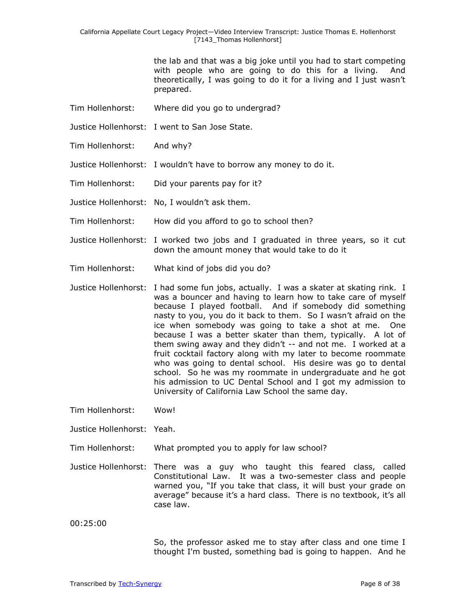the lab and that was a big joke until you had to start competing with people who are going to do this for a living. And theoretically, I was going to do it for a living and I just wasn't prepared.

- Tim Hollenhorst: Where did you go to undergrad?
- Justice Hollenhorst: I went to San Jose State.
- Tim Hollenhorst: And why?
- Justice Hollenhorst: I wouldn't have to borrow any money to do it.
- Tim Hollenhorst: Did your parents pay for it?
- Justice Hollenhorst: No, I wouldn't ask them.
- Tim Hollenhorst: How did you afford to go to school then?
- Justice Hollenhorst: I worked two jobs and I graduated in three years, so it cut down the amount money that would take to do it
- Tim Hollenhorst: What kind of jobs did you do?
- Justice Hollenhorst: I had some fun jobs, actually. I was a skater at skating rink. I was a bouncer and having to learn how to take care of myself because I played football. And if somebody did something nasty to you, you do it back to them. So I wasn't afraid on the ice when somebody was going to take a shot at me. One because I was a better skater than them, typically. A lot of them swing away and they didn't -- and not me. I worked at a fruit cocktail factory along with my later to become roommate who was going to dental school. His desire was go to dental school. So he was my roommate in undergraduate and he got his admission to UC Dental School and I got my admission to University of California Law School the same day.
- Tim Hollenhorst: Wow!
- Justice Hollenhorst: Yeah.
- Tim Hollenhorst: What prompted you to apply for law school?
- Justice Hollenhorst: There was a guy who taught this feared class, called Constitutional Law. It was a two-semester class and people warned you, "If you take that class, it will bust your grade on average" because it's a hard class. There is no textbook, it's all case law.

00:25:00

So, the professor asked me to stay after class and one time I thought I'm busted, something bad is going to happen. And he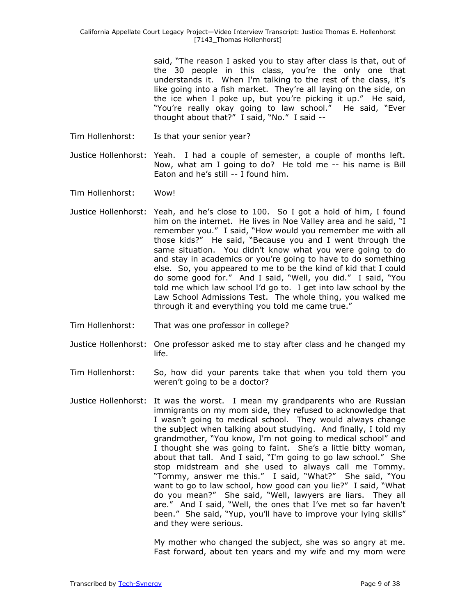said, "The reason I asked you to stay after class is that, out of the 30 people in this class, you're the only one that understands it. When I'm talking to the rest of the class, it's like going into a fish market. They're all laying on the side, on the ice when I poke up, but you're picking it up." He said, "You're really okay going to law school." He said, "Ever thought about that?" I said, "No." I said --

- Tim Hollenhorst: Is that your senior year?
- Justice Hollenhorst: Yeah. I had a couple of semester, a couple of months left. Now, what am I going to do? He told me -- his name is Bill Eaton and he's still -- I found him.
- Tim Hollenhorst: Wow!
- Justice Hollenhorst: Yeah, and he's close to 100. So I got a hold of him, I found him on the internet. He lives in Noe Valley area and he said, "I remember you." I said, "How would you remember me with all those kids?" He said, "Because you and I went through the same situation. You didn't know what you were going to do and stay in academics or you're going to have to do something else. So, you appeared to me to be the kind of kid that I could do some good for." And I said, "Well, you did." I said, "You told me which law school I'd go to. I get into law school by the Law School Admissions Test. The whole thing, you walked me through it and everything you told me came true."
- Tim Hollenhorst: That was one professor in college?
- Justice Hollenhorst: One professor asked me to stay after class and he changed my life.
- Tim Hollenhorst: So, how did your parents take that when you told them you weren't going to be a doctor?
- Justice Hollenhorst: It was the worst. I mean my grandparents who are Russian immigrants on my mom side, they refused to acknowledge that I wasn't going to medical school. They would always change the subject when talking about studying. And finally, I told my grandmother, "You know, I'm not going to medical school" and I thought she was going to faint. She's a little bitty woman, about that tall. And I said, "I'm going to go law school." She stop midstream and she used to always call me Tommy. "Tommy, answer me this." I said, "What?" She said, "You want to go to law school, how good can you lie?" I said, "What do you mean?" She said, "Well, lawyers are liars. They all are." And I said, "Well, the ones that I've met so far haven't been." She said, "Yup, you'll have to improve your lying skills" and they were serious.

My mother who changed the subject, she was so angry at me. Fast forward, about ten years and my wife and my mom were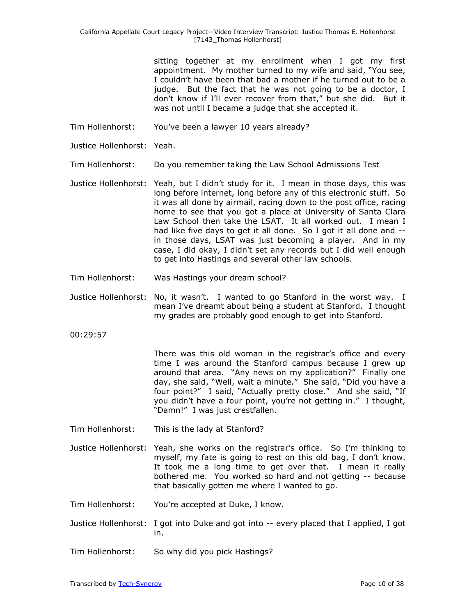sitting together at my enrollment when I got my first appointment. My mother turned to my wife and said, "You see, I couldn't have been that bad a mother if he turned out to be a judge. But the fact that he was not going to be a doctor, I don't know if I'll ever recover from that," but she did. But it was not until I became a judge that she accepted it.

- Tim Hollenhorst: You've been a lawyer 10 years already?
- Justice Hollenhorst: Yeah.
- Tim Hollenhorst: Do you remember taking the Law School Admissions Test
- Justice Hollenhorst: Yeah, but I didn't study for it. I mean in those days, this was long before internet, long before any of this electronic stuff. So it was all done by airmail, racing down to the post office, racing home to see that you got a place at University of Santa Clara Law School then take the LSAT. It all worked out. I mean I had like five days to get it all done. So I got it all done and - in those days, LSAT was just becoming a player. And in my case, I did okay, I didn't set any records but I did well enough to get into Hastings and several other law schools.
- Tim Hollenhorst: Was Hastings your dream school?
- Justice Hollenhorst: No, it wasn't. I wanted to go Stanford in the worst way. I mean I've dreamt about being a student at Stanford. I thought my grades are probably good enough to get into Stanford.
- 00:29:57

There was this old woman in the registrar's office and every time I was around the Stanford campus because I grew up around that area. "Any news on my application?" Finally one day, she said, "Well, wait a minute." She said, "Did you have a four point?" I said, "Actually pretty close." And she said, "If you didn't have a four point, you're not getting in." I thought, "Damn!" I was just crestfallen.

- Tim Hollenhorst: This is the lady at Stanford?
- Justice Hollenhorst: Yeah, she works on the registrar's office. So I'm thinking to myself, my fate is going to rest on this old bag, I don't know. It took me a long time to get over that. I mean it really bothered me. You worked so hard and not getting -- because that basically gotten me where I wanted to go.
- Tim Hollenhorst: You're accepted at Duke, I know.
- Justice Hollenhorst: I got into Duke and got into -- every placed that I applied, I got in.
- Tim Hollenhorst: So why did you pick Hastings?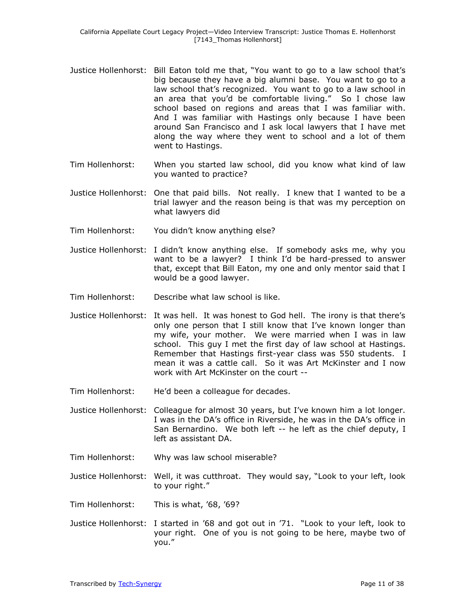- Justice Hollenhorst: Bill Eaton told me that, "You want to go to a law school that's big because they have a big alumni base. You want to go to a law school that's recognized. You want to go to a law school in an area that you'd be comfortable living." So I chose law school based on regions and areas that I was familiar with. And I was familiar with Hastings only because I have been around San Francisco and I ask local lawyers that I have met along the way where they went to school and a lot of them went to Hastings.
- Tim Hollenhorst: When you started law school, did you know what kind of law you wanted to practice?
- Justice Hollenhorst: One that paid bills. Not really. I knew that I wanted to be a trial lawyer and the reason being is that was my perception on what lawyers did
- Tim Hollenhorst: You didn't know anything else?
- Justice Hollenhorst: I didn't know anything else. If somebody asks me, why you want to be a lawyer? I think I'd be hard-pressed to answer that, except that Bill Eaton, my one and only mentor said that I would be a good lawyer.
- Tim Hollenhorst: Describe what law school is like.
- Justice Hollenhorst: It was hell. It was honest to God hell. The irony is that there's only one person that I still know that I've known longer than my wife, your mother. We were married when I was in law school. This guy I met the first day of law school at Hastings. Remember that Hastings first-year class was 550 students. I mean it was a cattle call. So it was Art McKinster and I now work with Art McKinster on the court --
- Tim Hollenhorst: He'd been a colleague for decades.

Justice Hollenhorst: Colleague for almost 30 years, but I've known him a lot longer. I was in the DA's office in Riverside, he was in the DA's office in San Bernardino. We both left -- he left as the chief deputy, I left as assistant DA.

- Tim Hollenhorst: Why was law school miserable?
- Justice Hollenhorst: Well, it was cutthroat. They would say, "Look to your left, look to your right."
- Tim Hollenhorst: This is what, '68, '69?
- Justice Hollenhorst: I started in '68 and got out in '71. "Look to your left, look to your right. One of you is not going to be here, maybe two of you."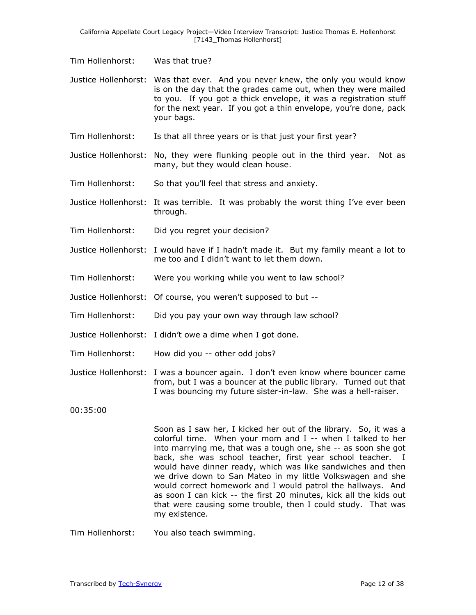Tim Hollenhorst: Was that true?

- Justice Hollenhorst: Was that ever. And you never knew, the only you would know is on the day that the grades came out, when they were mailed to you. If you got a thick envelope, it was a registration stuff for the next year. If you got a thin envelope, you're done, pack your bags.
- Tim Hollenhorst: Is that all three years or is that just your first year?
- Justice Hollenhorst: No, they were flunking people out in the third year. Not as many, but they would clean house.
- Tim Hollenhorst: So that you'll feel that stress and anxiety.
- Justice Hollenhorst: It was terrible. It was probably the worst thing I've ever been through.
- Tim Hollenhorst: Did you regret your decision?
- Justice Hollenhorst: I would have if I hadn't made it. But my family meant a lot to me too and I didn't want to let them down.
- Tim Hollenhorst: Were you working while you went to law school?
- Justice Hollenhorst: Of course, you weren't supposed to but --
- Tim Hollenhorst: Did you pay your own way through law school?
- Justice Hollenhorst: I didn't owe a dime when I got done.
- Tim Hollenhorst: How did you -- other odd jobs?
- Justice Hollenhorst: I was a bouncer again. I don't even know where bouncer came from, but I was a bouncer at the public library. Turned out that I was bouncing my future sister-in-law. She was a hell-raiser.

00:35:00

Soon as I saw her, I kicked her out of the library. So, it was a colorful time. When your mom and I -- when I talked to her into marrying me, that was a tough one, she -- as soon she got back, she was school teacher, first year school teacher. I would have dinner ready, which was like sandwiches and then we drive down to San Mateo in my little Volkswagen and she would correct homework and I would patrol the hallways. And as soon I can kick -- the first 20 minutes, kick all the kids out that were causing some trouble, then I could study. That was my existence.

Tim Hollenhorst: You also teach swimming.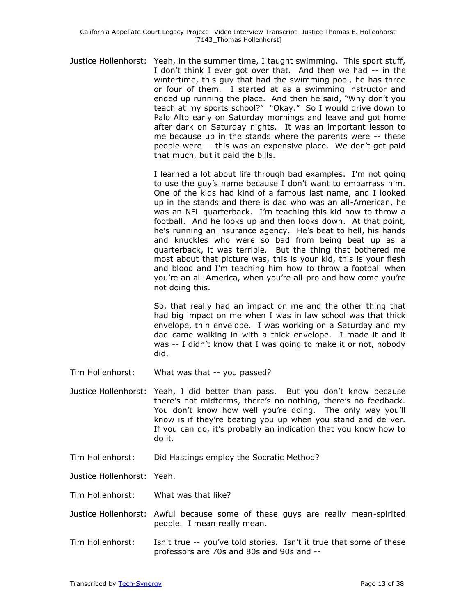Justice Hollenhorst: Yeah, in the summer time, I taught swimming. This sport stuff, I don't think I ever got over that. And then we had -- in the wintertime, this guy that had the swimming pool, he has three or four of them. I started at as a swimming instructor and ended up running the place. And then he said, "Why don't you teach at my sports school?" "Okay." So I would drive down to Palo Alto early on Saturday mornings and leave and got home after dark on Saturday nights. It was an important lesson to me because up in the stands where the parents were -- these people were -- this was an expensive place. We don't get paid that much, but it paid the bills.

> I learned a lot about life through bad examples. I'm not going to use the guy's name because I don't want to embarrass him. One of the kids had kind of a famous last name, and I looked up in the stands and there is dad who was an all-American, he was an NFL quarterback. I'm teaching this kid how to throw a football. And he looks up and then looks down. At that point, he's running an insurance agency. He's beat to hell, his hands and knuckles who were so bad from being beat up as a quarterback, it was terrible. But the thing that bothered me most about that picture was, this is your kid, this is your flesh and blood and I'm teaching him how to throw a football when you're an all-America, when you're all-pro and how come you're not doing this.

> So, that really had an impact on me and the other thing that had big impact on me when I was in law school was that thick envelope, thin envelope. I was working on a Saturday and my dad came walking in with a thick envelope. I made it and it was -- I didn't know that I was going to make it or not, nobody did.

- Tim Hollenhorst: What was that -- you passed?
- Justice Hollenhorst: Yeah, I did better than pass. But you don't know because there's not midterms, there's no nothing, there's no feedback. You don't know how well you're doing. The only way you'll know is if they're beating you up when you stand and deliver. If you can do, it's probably an indication that you know how to do it.
- Tim Hollenhorst: Did Hastings employ the Socratic Method?
- Justice Hollenhorst: Yeah.
- Tim Hollenhorst: What was that like?
- Justice Hollenhorst: Awful because some of these guys are really mean-spirited people. I mean really mean.
- Tim Hollenhorst: Isn't true -- you've told stories. Isn't it true that some of these professors are 70s and 80s and 90s and --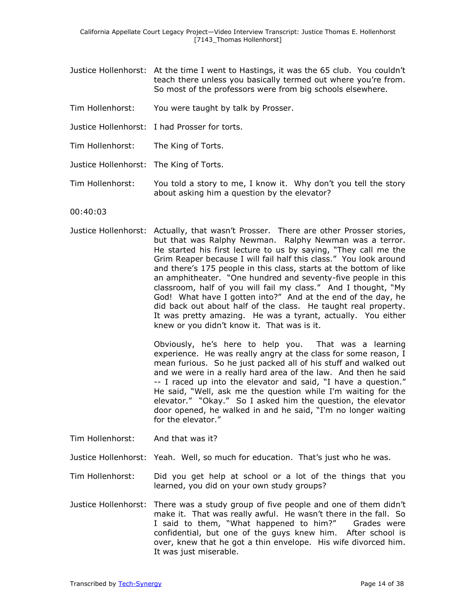- Justice Hollenhorst: At the time I went to Hastings, it was the 65 club. You couldn't teach there unless you basically termed out where you're from. So most of the professors were from big schools elsewhere.
- Tim Hollenhorst: You were taught by talk by Prosser.
- Justice Hollenhorst: I had Prosser for torts.
- Tim Hollenhorst: The King of Torts.
- Justice Hollenhorst: The King of Torts.
- Tim Hollenhorst: You told a story to me, I know it. Why don't you tell the story about asking him a question by the elevator?

00:40:03

Justice Hollenhorst: Actually, that wasn't Prosser. There are other Prosser stories, but that was Ralphy Newman. Ralphy Newman was a terror. He started his first lecture to us by saying, "They call me the Grim Reaper because I will fail half this class." You look around and there's 175 people in this class, starts at the bottom of like an amphitheater. "One hundred and seventy-five people in this classroom, half of you will fail my class." And I thought, "My God! What have I gotten into?" And at the end of the day, he did back out about half of the class. He taught real property. It was pretty amazing. He was a tyrant, actually. You either knew or you didn't know it. That was is it.

> Obviously, he's here to help you. That was a learning experience. He was really angry at the class for some reason, I mean furious. So he just packed all of his stuff and walked out and we were in a really hard area of the law. And then he said -- I raced up into the elevator and said, "I have a question." He said, "Well, ask me the question while I'm waiting for the elevator." "Okay." So I asked him the question, the elevator door opened, he walked in and he said, "I'm no longer waiting for the elevator."

Tim Hollenhorst: And that was it?

Justice Hollenhorst: Yeah. Well, so much for education. That's just who he was.

Tim Hollenhorst: Did you get help at school or a lot of the things that you learned, you did on your own study groups?

Justice Hollenhorst: There was a study group of five people and one of them didn't make it. That was really awful. He wasn't there in the fall. So I said to them, "What happened to him?" Grades were confidential, but one of the guys knew him. After school is over, knew that he got a thin envelope. His wife divorced him. It was just miserable.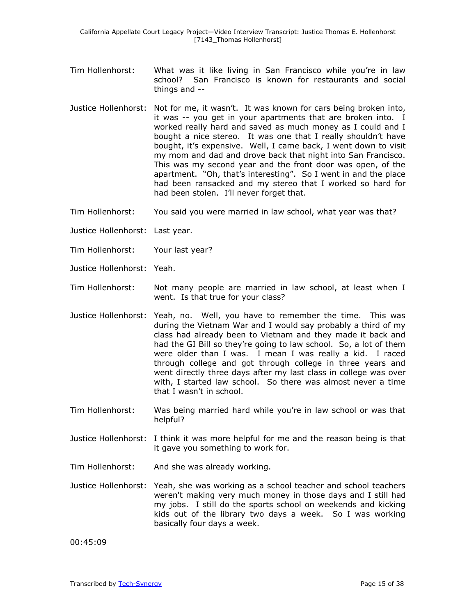- Tim Hollenhorst: What was it like living in San Francisco while you're in law school? San Francisco is known for restaurants and social things and --
- Justice Hollenhorst: Not for me, it wasn't. It was known for cars being broken into, it was -- you get in your apartments that are broken into. I worked really hard and saved as much money as I could and I bought a nice stereo. It was one that I really shouldn't have bought, it's expensive. Well, I came back, I went down to visit my mom and dad and drove back that night into San Francisco. This was my second year and the front door was open, of the apartment. "Oh, that's interesting". So I went in and the place had been ransacked and my stereo that I worked so hard for had been stolen. I'll never forget that.
- Tim Hollenhorst: You said you were married in law school, what year was that?
- Justice Hollenhorst: Last year.
- Tim Hollenhorst: Your last year?
- Justice Hollenhorst: Yeah.
- Tim Hollenhorst: Not many people are married in law school, at least when I went. Is that true for your class?
- Justice Hollenhorst: Yeah, no. Well, you have to remember the time. This was during the Vietnam War and I would say probably a third of my class had already been to Vietnam and they made it back and had the GI Bill so they're going to law school. So, a lot of them were older than I was. I mean I was really a kid. I raced through college and got through college in three years and went directly three days after my last class in college was over with, I started law school. So there was almost never a time that I wasn't in school.
- Tim Hollenhorst: Was being married hard while you're in law school or was that helpful?
- Justice Hollenhorst: I think it was more helpful for me and the reason being is that it gave you something to work for.
- Tim Hollenhorst: And she was already working.
- Justice Hollenhorst: Yeah, she was working as a school teacher and school teachers weren't making very much money in those days and I still had my jobs. I still do the sports school on weekends and kicking kids out of the library two days a week. So I was working basically four days a week.

00:45:09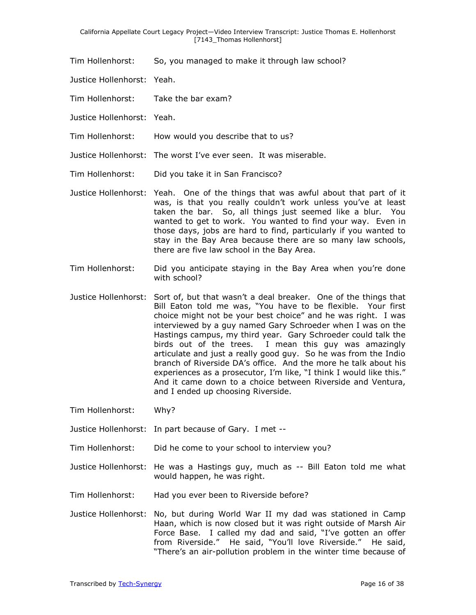- Tim Hollenhorst: So, you managed to make it through law school?
- Justice Hollenhorst: Yeah.
- Tim Hollenhorst: Take the bar exam?
- Justice Hollenhorst: Yeah.
- Tim Hollenhorst: How would you describe that to us?
- Justice Hollenhorst: The worst I've ever seen. It was miserable.
- Tim Hollenhorst: Did you take it in San Francisco?
- Justice Hollenhorst: Yeah. One of the things that was awful about that part of it was, is that you really couldn't work unless you've at least taken the bar. So, all things just seemed like a blur. You wanted to get to work. You wanted to find your way. Even in those days, jobs are hard to find, particularly if you wanted to stay in the Bay Area because there are so many law schools, there are five law school in the Bay Area.
- Tim Hollenhorst: Did you anticipate staying in the Bay Area when you're done with school?
- Justice Hollenhorst: Sort of, but that wasn't a deal breaker. One of the things that Bill Eaton told me was, "You have to be flexible. Your first choice might not be your best choice" and he was right. I was interviewed by a guy named Gary Schroeder when I was on the Hastings campus, my third year. Gary Schroeder could talk the birds out of the trees. I mean this guy was amazingly articulate and just a really good guy. So he was from the Indio branch of Riverside DA's office. And the more he talk about his experiences as a prosecutor, I'm like, "I think I would like this." And it came down to a choice between Riverside and Ventura, and I ended up choosing Riverside.
- Tim Hollenhorst: Why?
- Justice Hollenhorst: In part because of Gary. I met --
- Tim Hollenhorst: Did he come to your school to interview you?
- Justice Hollenhorst: He was a Hastings guy, much as -- Bill Eaton told me what would happen, he was right.
- Tim Hollenhorst: Had you ever been to Riverside before?
- Justice Hollenhorst: No, but during World War II my dad was stationed in Camp Haan, which is now closed but it was right outside of Marsh Air Force Base. I called my dad and said, "I've gotten an offer from Riverside." He said, "You'll love Riverside." He said, "There's an air-pollution problem in the winter time because of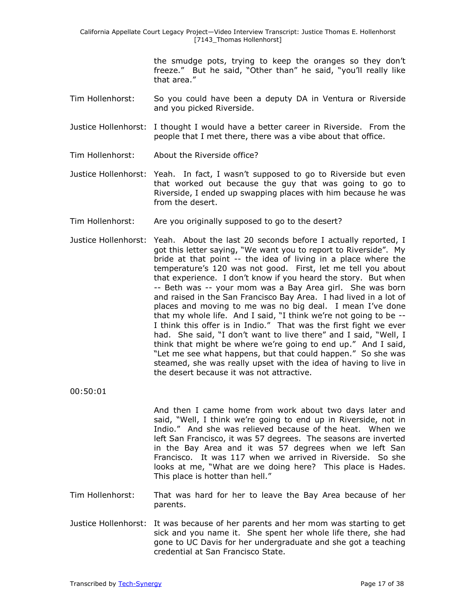the smudge pots, trying to keep the oranges so they don't freeze." But he said, "Other than" he said, "you'll really like that area."

- Tim Hollenhorst: So you could have been a deputy DA in Ventura or Riverside and you picked Riverside.
- Justice Hollenhorst: I thought I would have a better career in Riverside. From the people that I met there, there was a vibe about that office.
- Tim Hollenhorst: About the Riverside office?
- Justice Hollenhorst: Yeah. In fact, I wasn't supposed to go to Riverside but even that worked out because the guy that was going to go to Riverside, I ended up swapping places with him because he was from the desert.
- Tim Hollenhorst: Are you originally supposed to go to the desert?
- Justice Hollenhorst: Yeah. About the last 20 seconds before I actually reported, I got this letter saying, "We want you to report to Riverside". My bride at that point -- the idea of living in a place where the temperature's 120 was not good. First, let me tell you about that experience. I don't know if you heard the story. But when -- Beth was -- your mom was a Bay Area girl. She was born and raised in the San Francisco Bay Area. I had lived in a lot of places and moving to me was no big deal. I mean I've done that my whole life. And I said, "I think we're not going to be -- I think this offer is in Indio." That was the first fight we ever had. She said, "I don't want to live there" and I said, "Well, I think that might be where we're going to end up." And I said, "Let me see what happens, but that could happen." So she was steamed, she was really upset with the idea of having to live in the desert because it was not attractive.

00:50:01

And then I came home from work about two days later and said, "Well, I think we're going to end up in Riverside, not in Indio." And she was relieved because of the heat. When we left San Francisco, it was 57 degrees. The seasons are inverted in the Bay Area and it was 57 degrees when we left San Francisco. It was 117 when we arrived in Riverside. So she looks at me, "What are we doing here? This place is Hades. This place is hotter than hell."

- Tim Hollenhorst: That was hard for her to leave the Bay Area because of her parents.
- Justice Hollenhorst: It was because of her parents and her mom was starting to get sick and you name it. She spent her whole life there, she had gone to UC Davis for her undergraduate and she got a teaching credential at San Francisco State.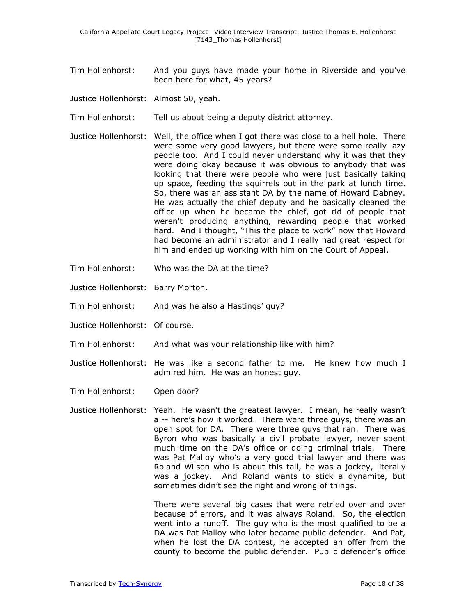Tim Hollenhorst: And you guys have made your home in Riverside and you've been here for what, 45 years?

Justice Hollenhorst: Almost 50, yeah.

- Tim Hollenhorst: Tell us about being a deputy district attorney.
- Justice Hollenhorst: Well, the office when I got there was close to a hell hole. There were some very good lawyers, but there were some really lazy people too. And I could never understand why it was that they were doing okay because it was obvious to anybody that was looking that there were people who were just basically taking up space, feeding the squirrels out in the park at lunch time. So, there was an assistant DA by the name of Howard Dabney. He was actually the chief deputy and he basically cleaned the office up when he became the chief, got rid of people that weren't producing anything, rewarding people that worked hard. And I thought, "This the place to work" now that Howard had become an administrator and I really had great respect for him and ended up working with him on the Court of Appeal.
- Tim Hollenhorst: Who was the DA at the time?
- Justice Hollenhorst: Barry Morton.
- Tim Hollenhorst: And was he also a Hastings' guy?
- Justice Hollenhorst: Of course.
- Tim Hollenhorst: And what was your relationship like with him?
- Justice Hollenhorst: He was like a second father to me. He knew how much I admired him. He was an honest guy.

Tim Hollenhorst: Open door?

Justice Hollenhorst: Yeah. He wasn't the greatest lawyer. I mean, he really wasn't a -- here's how it worked. There were three guys, there was an open spot for DA. There were three guys that ran. There was Byron who was basically a civil probate lawyer, never spent much time on the DA's office or doing criminal trials. There was Pat Malloy who's a very good trial lawyer and there was Roland Wilson who is about this tall, he was a jockey, literally was a jockey. And Roland wants to stick a dynamite, but sometimes didn't see the right and wrong of things.

> There were several big cases that were retried over and over because of errors, and it was always Roland. So, the election went into a runoff. The guy who is the most qualified to be a DA was Pat Malloy who later became public defender. And Pat, when he lost the DA contest, he accepted an offer from the county to become the public defender. Public defender's office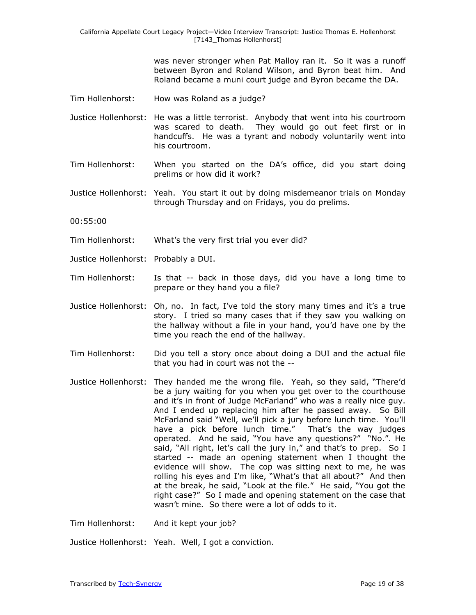was never stronger when Pat Malloy ran it. So it was a runoff between Byron and Roland Wilson, and Byron beat him. And Roland became a muni court judge and Byron became the DA.

- Tim Hollenhorst: How was Roland as a judge?
- Justice Hollenhorst: He was a little terrorist. Anybody that went into his courtroom was scared to death. They would go out feet first or in handcuffs. He was a tyrant and nobody voluntarily went into his courtroom.
- Tim Hollenhorst: When you started on the DA's office, did you start doing prelims or how did it work?
- Justice Hollenhorst: Yeah. You start it out by doing misdemeanor trials on Monday through Thursday and on Fridays, you do prelims.

00:55:00

- Tim Hollenhorst: What's the very first trial you ever did?
- Justice Hollenhorst: Probably a DUI.
- Tim Hollenhorst: Is that -- back in those days, did you have a long time to prepare or they hand you a file?
- Justice Hollenhorst: Oh, no. In fact, I've told the story many times and it's a true story. I tried so many cases that if they saw you walking on the hallway without a file in your hand, you'd have one by the time you reach the end of the hallway.
- Tim Hollenhorst: Did you tell a story once about doing a DUI and the actual file that you had in court was not the --
- Justice Hollenhorst: They handed me the wrong file. Yeah, so they said, "There'd be a jury waiting for you when you get over to the courthouse and it's in front of Judge McFarland" who was a really nice guy. And I ended up replacing him after he passed away. So Bill McFarland said "Well, we'll pick a jury before lunch time. You'll have a pick before lunch time." That's the way judges operated. And he said, "You have any questions?" "No.". He said, "All right, let's call the jury in," and that's to prep. So I started -- made an opening statement when I thought the evidence will show. The cop was sitting next to me, he was rolling his eyes and I'm like, "What's that all about?" And then at the break, he said, "Look at the file." He said, "You got the right case?" So I made and opening statement on the case that wasn't mine. So there were a lot of odds to it.

Tim Hollenhorst: And it kept your job?

Justice Hollenhorst: Yeah. Well, I got a conviction.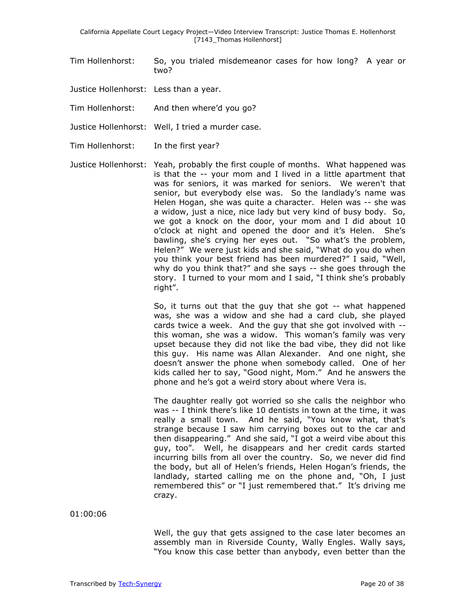- Tim Hollenhorst: So, you trialed misdemeanor cases for how long? A year or two?
- Justice Hollenhorst: Less than a year.
- Tim Hollenhorst: And then where'd you go?
- Justice Hollenhorst: Well, I tried a murder case.
- Tim Hollenhorst: In the first year?

Justice Hollenhorst: Yeah, probably the first couple of months. What happened was is that the -- your mom and I lived in a little apartment that was for seniors, it was marked for seniors. We weren't that senior, but everybody else was. So the landlady's name was Helen Hogan, she was quite a character. Helen was -- she was a widow, just a nice, nice lady but very kind of busy body. So, we got a knock on the door, your mom and I did about 10 o'clock at night and opened the door and it's Helen. She's bawling, she's crying her eyes out. "So what's the problem, Helen?" We were just kids and she said, "What do you do when you think your best friend has been murdered?" I said, "Well, why do you think that?" and she says -- she goes through the story. I turned to your mom and I said, "I think she's probably right".

> So, it turns out that the guy that she got -- what happened was, she was a widow and she had a card club, she played cards twice a week. And the guy that she got involved with - this woman, she was a widow. This woman's family was very upset because they did not like the bad vibe, they did not like this guy. His name was Allan Alexander. And one night, she doesn't answer the phone when somebody called. One of her kids called her to say, "Good night, Mom." And he answers the phone and he's got a weird story about where Vera is.

> The daughter really got worried so she calls the neighbor who was -- I think there's like 10 dentists in town at the time, it was really a small town. And he said, "You know what, that's strange because I saw him carrying boxes out to the car and then disappearing." And she said, " $\tilde{I}$  got a weird vibe about this guy, too". Well, he disappears and her credit cards started incurring bills from all over the country. So, we never did find the body, but all of Helen's friends, Helen Hogan's friends, the landlady, started calling me on the phone and, "Oh, I just remembered this" or "I just remembered that." It's driving me crazy.

01:00:06

Well, the guy that gets assigned to the case later becomes an assembly man in Riverside County, Wally Engles. Wally says, "You know this case better than anybody, even better than the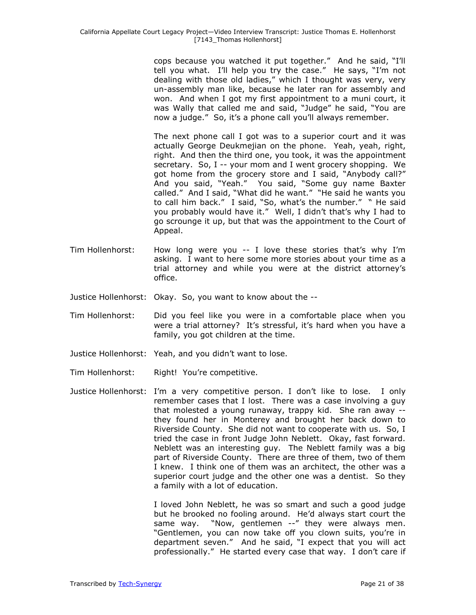cops because you watched it put together." And he said, "I'll tell you what. I'll help you try the case." He says, "I'm not dealing with those old ladies," which I thought was very, very un-assembly man like, because he later ran for assembly and won. And when I got my first appointment to a muni court, it was Wally that called me and said, "Judge" he said, "You are now a judge." So, it's a phone call you'll always remember.

The next phone call I got was to a superior court and it was actually George Deukmejian on the phone. Yeah, yeah, right, right. And then the third one, you took, it was the appointment secretary. So, I -- your mom and I went grocery shopping. We got home from the grocery store and I said, "Anybody call?" And you said, "Yeah." You said, "Some guy name Baxter called." And I said, "What did he want." "He said he wants you to call him back." I said, "So, what's the number." " He said you probably would have it." Well, I didn't that's why I had to go scrounge it up, but that was the appointment to the Court of Appeal.

- Tim Hollenhorst: How long were you -- I love these stories that's why I'm asking. I want to here some more stories about your time as a trial attorney and while you were at the district attorney's office.
- Justice Hollenhorst: Okay. So, you want to know about the --
- Tim Hollenhorst: Did you feel like you were in a comfortable place when you were a trial attorney? It's stressful, it's hard when you have a family, you got children at the time.
- Justice Hollenhorst: Yeah, and you didn't want to lose.
- Tim Hollenhorst: Right! You're competitive.
- Justice Hollenhorst: I'm a very competitive person. I don't like to lose. I only remember cases that I lost. There was a case involving a guy that molested a young runaway, trappy kid. She ran away - they found her in Monterey and brought her back down to Riverside County. She did not want to cooperate with us. So, I tried the case in front Judge John Neblett. Okay, fast forward. Neblett was an interesting guy. The Neblett family was a big part of Riverside County. There are three of them, two of them I knew. I think one of them was an architect, the other was a superior court judge and the other one was a dentist. So they a family with a lot of education.

I loved John Neblett, he was so smart and such a good judge but he brooked no fooling around. He'd always start court the same way. "Now, gentlemen --" they were always men. "Gentlemen, you can now take off you clown suits, you're in department seven." And he said, "I expect that you will act professionally." He started every case that way. I don't care if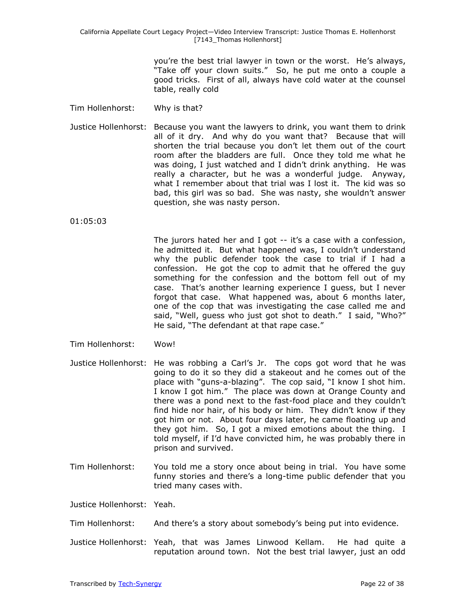you're the best trial lawyer in town or the worst. He's always, "Take off your clown suits." So, he put me onto a couple a good tricks. First of all, always have cold water at the counsel table, really cold

Tim Hollenhorst: Why is that?

Justice Hollenhorst: Because you want the lawyers to drink, you want them to drink all of it dry. And why do you want that? Because that will shorten the trial because you don't let them out of the court room after the bladders are full. Once they told me what he was doing, I just watched and I didn't drink anything. He was really a character, but he was a wonderful judge. Anyway, what I remember about that trial was I lost it. The kid was so bad, this girl was so bad. She was nasty, she wouldn't answer question, she was nasty person.

01:05:03

The jurors hated her and I got -- it's a case with a confession, he admitted it. But what happened was, I couldn't understand why the public defender took the case to trial if I had a confession. He got the cop to admit that he offered the guy something for the confession and the bottom fell out of my case. That's another learning experience I guess, but I never forgot that case. What happened was, about 6 months later, one of the cop that was investigating the case called me and said, "Well, guess who just got shot to death." I said, "Who?" He said, "The defendant at that rape case."

Tim Hollenhorst: Wow!

- Justice Hollenhorst: He was robbing a Carl's Jr. The cops got word that he was going to do it so they did a stakeout and he comes out of the place with "guns-a-blazing". The cop said, "I know I shot him. I know I got him." The place was down at Orange County and there was a pond next to the fast-food place and they couldn't find hide nor hair, of his body or him. They didn't know if they got him or not. About four days later, he came floating up and they got him. So, I got a mixed emotions about the thing. I told myself, if I'd have convicted him, he was probably there in prison and survived.
- Tim Hollenhorst: You told me a story once about being in trial. You have some funny stories and there's a long-time public defender that you tried many cases with.

Justice Hollenhorst: Yeah.

- Tim Hollenhorst: And there's a story about somebody's being put into evidence.
- Justice Hollenhorst: Yeah, that was James Linwood Kellam. He had quite a reputation around town. Not the best trial lawyer, just an odd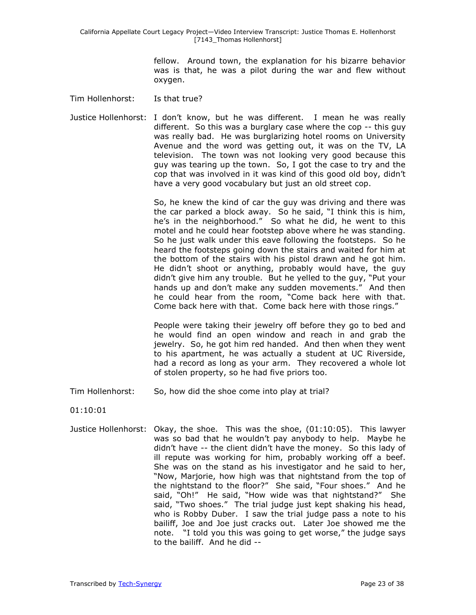fellow. Around town, the explanation for his bizarre behavior was is that, he was a pilot during the war and flew without oxygen.

- Tim Hollenhorst: Is that true?
- Justice Hollenhorst: I don't know, but he was different. I mean he was really different. So this was a burglary case where the cop -- this guy was really bad. He was burglarizing hotel rooms on University Avenue and the word was getting out, it was on the TV, LA television. The town was not looking very good because this guy was tearing up the town. So, I got the case to try and the cop that was involved in it was kind of this good old boy, didn't have a very good vocabulary but just an old street cop.

So, he knew the kind of car the guy was driving and there was the car parked a block away. So he said, "I think this is him, he's in the neighborhood." So what he did, he went to this motel and he could hear footstep above where he was standing. So he just walk under this eave following the footsteps. So he heard the footsteps going down the stairs and waited for him at the bottom of the stairs with his pistol drawn and he got him. He didn't shoot or anything, probably would have, the guy didn't give him any trouble. But he yelled to the guy, "Put your hands up and don't make any sudden movements." And then he could hear from the room, "Come back here with that. Come back here with that. Come back here with those rings."

People were taking their jewelry off before they go to bed and he would find an open window and reach in and grab the jewelry. So, he got him red handed. And then when they went to his apartment, he was actually a student at UC Riverside, had a record as long as your arm. They recovered a whole lot of stolen property, so he had five priors too.

Tim Hollenhorst: So, how did the shoe come into play at trial?

01:10:01

Justice Hollenhorst: Okay, the shoe. This was the shoe, (01:10:05). This lawyer was so bad that he wouldn't pay anybody to help. Maybe he didn't have -- the client didn't have the money. So this lady of ill repute was working for him, probably working off a beef. She was on the stand as his investigator and he said to her, "Now, Marjorie, how high was that nightstand from the top of the nightstand to the floor?" She said, "Four shoes." And he said, "Oh!" He said, "How wide was that nightstand?" She said, "Two shoes." The trial judge just kept shaking his head, who is Robby Duber. I saw the trial judge pass a note to his bailiff, Joe and Joe just cracks out. Later Joe showed me the note. "I told you this was going to get worse," the judge says to the bailiff. And he did --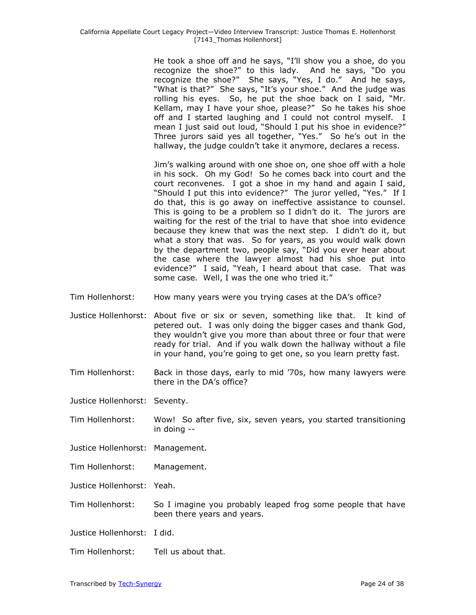He took a shoe off and he says, "I'll show you a shoe, do you recognize the shoe?" to this lady. And he says, "Do you recognize the shoe?" She says, "Yes, I do." And he says, "What is that?" She says, "It's your shoe." And the judge was rolling his eyes. So, he put the shoe back on I said, "Mr. Kellam, may I have your shoe, please?" So he takes his shoe off and I started laughing and I could not control myself. I mean I just said out loud, "Should I put his shoe in evidence?" Three jurors said yes all together, "Yes." So he's out in the hallway, the judge couldn't take it anymore, declares a recess.

Jim's walking around with one shoe on, one shoe off with a hole in his sock. Oh my God! So he comes back into court and the court reconvenes. I got a shoe in my hand and again I said, "Should I put this into evidence?" The juror yelled, "Yes." If I do that, this is go away on ineffective assistance to counsel. This is going to be a problem so I didn't do it. The jurors are waiting for the rest of the trial to have that shoe into evidence because they knew that was the next step. I didn't do it, but what a story that was. So for years, as you would walk down by the department two, people say, "Did you ever hear about the case where the lawyer almost had his shoe put into evidence?" I said, "Yeah, I heard about that case. That was some case. Well, I was the one who tried it."

- Tim Hollenhorst: How many years were you trying cases at the DA's office?
- Justice Hollenhorst: About five or six or seven, something like that. It kind of petered out. I was only doing the bigger cases and thank God, they wouldn't give you more than about three or four that were ready for trial. And if you walk down the hallway without a file in your hand, you're going to get one, so you learn pretty fast.
- Tim Hollenhorst: Back in those days, early to mid '70s, how many lawyers were there in the DA's office?

Justice Hollenhorst: Seventy.

- Tim Hollenhorst: Wow! So after five, six, seven years, you started transitioning in doing --
- Justice Hollenhorst: Management.
- Tim Hollenhorst: Management.

Justice Hollenhorst: Yeah.

- Tim Hollenhorst: So I imagine you probably leaped frog some people that have been there years and years.
- Justice Hollenhorst: I did.
- Tim Hollenhorst: Tell us about that.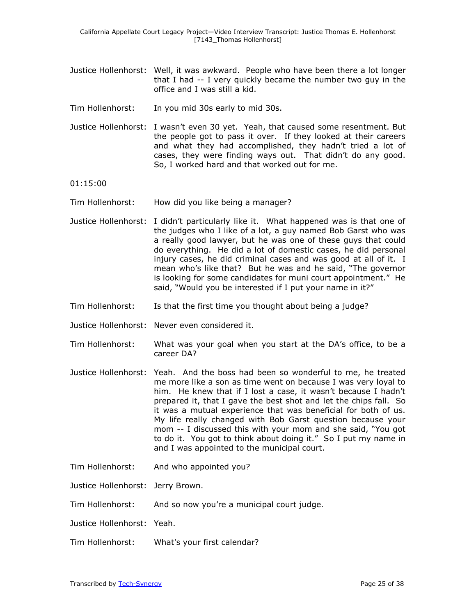- Justice Hollenhorst: Well, it was awkward. People who have been there a lot longer that I had -- I very quickly became the number two guy in the office and I was still a kid.
- Tim Hollenhorst: In you mid 30s early to mid 30s.
- Justice Hollenhorst: I wasn't even 30 yet. Yeah, that caused some resentment. But the people got to pass it over. If they looked at their careers and what they had accomplished, they hadn't tried a lot of cases, they were finding ways out. That didn't do any good. So, I worked hard and that worked out for me.

01:15:00

- Tim Hollenhorst: How did you like being a manager?
- Justice Hollenhorst: I didn't particularly like it. What happened was is that one of the judges who I like of a lot, a guy named Bob Garst who was a really good lawyer, but he was one of these guys that could do everything. He did a lot of domestic cases, he did personal injury cases, he did criminal cases and was good at all of it. I mean who's like that? But he was and he said, "The governor is looking for some candidates for muni court appointment." He said, "Would you be interested if I put your name in it?"
- Tim Hollenhorst: Is that the first time you thought about being a judge?
- Justice Hollenhorst: Never even considered it.
- Tim Hollenhorst: What was your goal when you start at the DA's office, to be a career DA?
- Justice Hollenhorst: Yeah. And the boss had been so wonderful to me, he treated me more like a son as time went on because I was very loyal to him. He knew that if I lost a case, it wasn't because I hadn't prepared it, that I gave the best shot and let the chips fall. So it was a mutual experience that was beneficial for both of us. My life really changed with Bob Garst question because your mom -- I discussed this with your mom and she said, "You got to do it. You got to think about doing it." So I put my name in and I was appointed to the municipal court.
- Tim Hollenhorst: And who appointed you?

Justice Hollenhorst: Jerry Brown.

Tim Hollenhorst: And so now you're a municipal court judge.

Justice Hollenhorst: Yeah.

Tim Hollenhorst: What's your first calendar?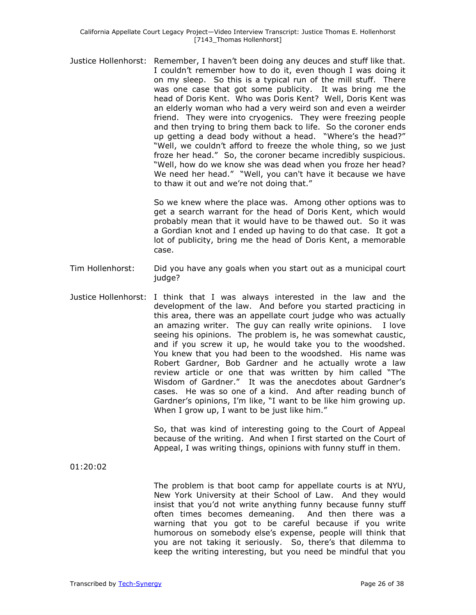Justice Hollenhorst: Remember, I haven't been doing any deuces and stuff like that. I couldn't remember how to do it, even though I was doing it on my sleep. So this is a typical run of the mill stuff. There was one case that got some publicity. It was bring me the head of Doris Kent. Who was Doris Kent? Well, Doris Kent was an elderly woman who had a very weird son and even a weirder friend. They were into cryogenics. They were freezing people and then trying to bring them back to life. So the coroner ends up getting a dead body without a head. "Where's the head?" "Well, we couldn't afford to freeze the whole thing, so we just froze her head." So, the coroner became incredibly suspicious. "Well, how do we know she was dead when you froze her head? We need her head." "Well, you can't have it because we have to thaw it out and we're not doing that."

> So we knew where the place was. Among other options was to get a search warrant for the head of Doris Kent, which would probably mean that it would have to be thawed out. So it was a Gordian knot and I ended up having to do that case. It got a lot of publicity, bring me the head of Doris Kent, a memorable case.

- Tim Hollenhorst: Did you have any goals when you start out as a municipal court judge?
- Justice Hollenhorst: I think that I was always interested in the law and the development of the law. And before you started practicing in this area, there was an appellate court judge who was actually an amazing writer. The guy can really write opinions. I love seeing his opinions. The problem is, he was somewhat caustic, and if you screw it up, he would take you to the woodshed. You knew that you had been to the woodshed. His name was Robert Gardner, Bob Gardner and he actually wrote a law review article or one that was written by him called "The Wisdom of Gardner." It was the anecdotes about Gardner's cases. He was so one of a kind. And after reading bunch of Gardner's opinions, I'm like, "I want to be like him growing up. When I grow up, I want to be just like him."

So, that was kind of interesting going to the Court of Appeal because of the writing. And when I first started on the Court of Appeal, I was writing things, opinions with funny stuff in them.

01:20:02

The problem is that boot camp for appellate courts is at NYU, New York University at their School of Law. And they would insist that you'd not write anything funny because funny stuff often times becomes demeaning. And then there was a warning that you got to be careful because if you write humorous on somebody else's expense, people will think that you are not taking it seriously. So, there's that dilemma to keep the writing interesting, but you need be mindful that you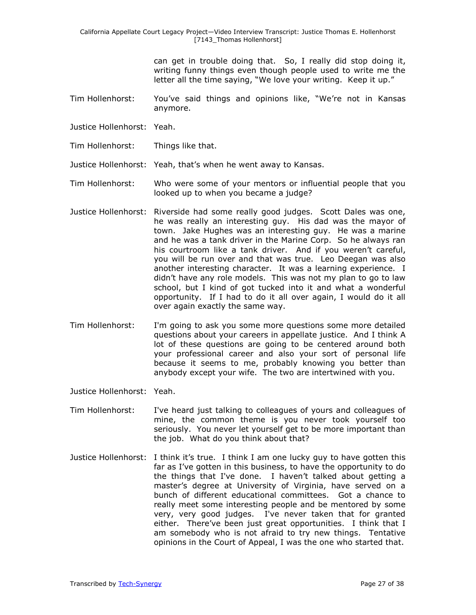can get in trouble doing that. So, I really did stop doing it, writing funny things even though people used to write me the letter all the time saying, "We love your writing. Keep it up."

- Tim Hollenhorst: You've said things and opinions like, "We're not in Kansas anymore.
- Justice Hollenhorst: Yeah.
- Tim Hollenhorst: Things like that.

Justice Hollenhorst: Yeah, that's when he went away to Kansas.

- Tim Hollenhorst: Who were some of your mentors or influential people that you looked up to when you became a judge?
- Justice Hollenhorst: Riverside had some really good judges. Scott Dales was one, he was really an interesting guy. His dad was the mayor of town. Jake Hughes was an interesting guy. He was a marine and he was a tank driver in the Marine Corp. So he always ran his courtroom like a tank driver. And if you weren't careful, you will be run over and that was true. Leo Deegan was also another interesting character. It was a learning experience. I didn't have any role models. This was not my plan to go to law school, but I kind of got tucked into it and what a wonderful opportunity. If I had to do it all over again, I would do it all over again exactly the same way.
- Tim Hollenhorst: I'm going to ask you some more questions some more detailed questions about your careers in appellate justice. And I think A lot of these questions are going to be centered around both your professional career and also your sort of personal life because it seems to me, probably knowing you better than anybody except your wife. The two are intertwined with you.
- Justice Hollenhorst: Yeah.
- Tim Hollenhorst: I've heard just talking to colleagues of yours and colleagues of mine, the common theme is you never took yourself too seriously. You never let yourself get to be more important than the job. What do you think about that?
- Justice Hollenhorst: I think it's true. I think I am one lucky guy to have gotten this far as I've gotten in this business, to have the opportunity to do the things that I've done. I haven't talked about getting a master's degree at University of Virginia, have served on a bunch of different educational committees. Got a chance to really meet some interesting people and be mentored by some very, very good judges. I've never taken that for granted either. There've been just great opportunities. I think that I am somebody who is not afraid to try new things. Tentative opinions in the Court of Appeal, I was the one who started that.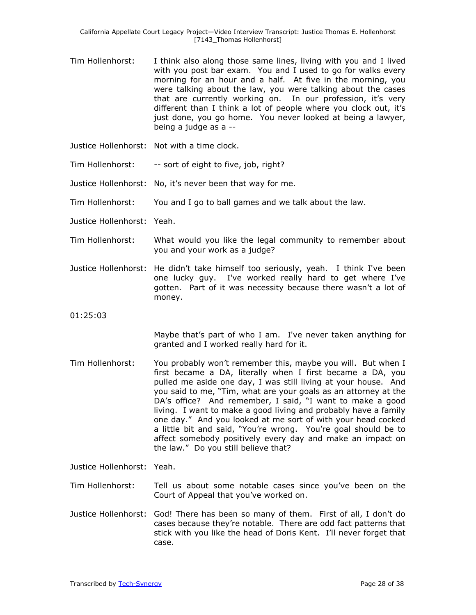- Tim Hollenhorst: I think also along those same lines, living with you and I lived with you post bar exam. You and I used to go for walks every morning for an hour and a half. At five in the morning, you were talking about the law, you were talking about the cases that are currently working on. In our profession, it's very different than I think a lot of people where you clock out, it's just done, you go home. You never looked at being a lawyer, being a judge as a --
- Justice Hollenhorst: Not with a time clock.
- Tim Hollenhorst: -- sort of eight to five, job, right?
- Justice Hollenhorst: No, it's never been that way for me.
- Tim Hollenhorst: You and I go to ball games and we talk about the law.
- Justice Hollenhorst: Yeah.
- Tim Hollenhorst: What would you like the legal community to remember about you and your work as a judge?
- Justice Hollenhorst: He didn't take himself too seriously, yeah. I think I've been one lucky guy. I've worked really hard to get where I've gotten. Part of it was necessity because there wasn't a lot of money.
- 01:25:03

Maybe that's part of who I am. I've never taken anything for granted and I worked really hard for it.

Tim Hollenhorst: You probably won't remember this, maybe you will. But when I first became a DA, literally when I first became a DA, you pulled me aside one day, I was still living at your house. And you said to me, "Tim, what are your goals as an attorney at the DA's office? And remember, I said, "I want to make a good living. I want to make a good living and probably have a family one day." And you looked at me sort of with your head cocked a little bit and said, "You're wrong. You're goal should be to affect somebody positively every day and make an impact on the law." Do you still believe that?

Justice Hollenhorst: Yeah.

- Tim Hollenhorst: Tell us about some notable cases since you've been on the Court of Appeal that you've worked on.
- Justice Hollenhorst: God! There has been so many of them. First of all, I don't do cases because they're notable. There are odd fact patterns that stick with you like the head of Doris Kent. I'll never forget that case.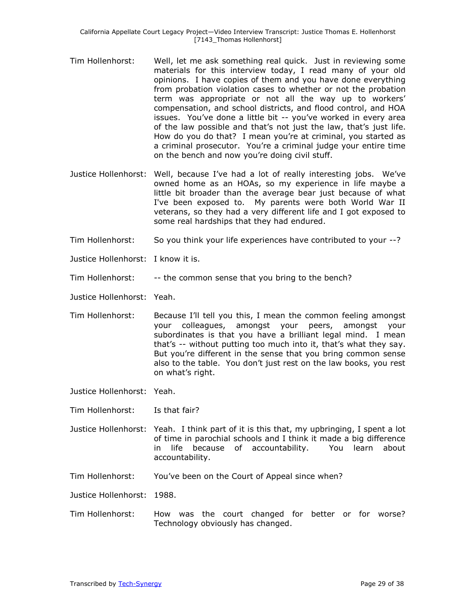- Tim Hollenhorst: Well, let me ask something real quick. Just in reviewing some materials for this interview today, I read many of your old opinions. I have copies of them and you have done everything from probation violation cases to whether or not the probation term was appropriate or not all the way up to workers' compensation, and school districts, and flood control, and HOA issues. You've done a little bit -- you've worked in every area of the law possible and that's not just the law, that's just life. How do you do that? I mean you're at criminal, you started as a criminal prosecutor. You're a criminal judge your entire time on the bench and now you're doing civil stuff.
- Justice Hollenhorst: Well, because I've had a lot of really interesting jobs. We've owned home as an HOAs, so my experience in life maybe a little bit broader than the average bear just because of what I've been exposed to. My parents were both World War II veterans, so they had a very different life and I got exposed to some real hardships that they had endured.
- Tim Hollenhorst: So you think your life experiences have contributed to your --?
- Justice Hollenhorst: I know it is.
- Tim Hollenhorst: -- the common sense that you bring to the bench?
- Justice Hollenhorst: Yeah.

Tim Hollenhorst: Because I'll tell you this, I mean the common feeling amongst your colleagues, amongst your peers, amongst your subordinates is that you have a brilliant legal mind. I mean that's -- without putting too much into it, that's what they say. But you're different in the sense that you bring common sense also to the table. You don't just rest on the law books, you rest on what's right.

- Justice Hollenhorst: Yeah.
- Tim Hollenhorst: Is that fair?
- Justice Hollenhorst: Yeah. I think part of it is this that, my upbringing, I spent a lot of time in parochial schools and I think it made a big difference in life because of accountability. You learn about accountability.
- Tim Hollenhorst: You've been on the Court of Appeal since when?
- Justice Hollenhorst: 1988.
- Tim Hollenhorst: How was the court changed for better or for worse? Technology obviously has changed.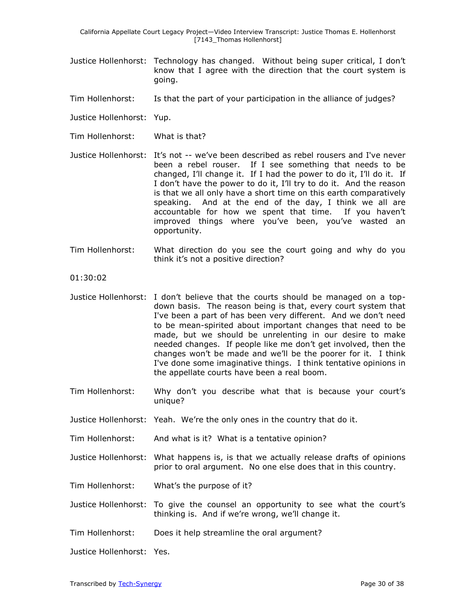- Justice Hollenhorst: Technology has changed. Without being super critical, I don't know that I agree with the direction that the court system is going.
- Tim Hollenhorst: Is that the part of your participation in the alliance of judges?
- Justice Hollenhorst: Yup.
- Tim Hollenhorst: What is that?
- Justice Hollenhorst: It's not -- we've been described as rebel rousers and I've never been a rebel rouser. If I see something that needs to be changed, I'll change it. If I had the power to do it, I'll do it. If I don't have the power to do it, I'll try to do it. And the reason is that we all only have a short time on this earth comparatively speaking. And at the end of the day, I think we all are accountable for how we spent that time. If you haven't improved things where you've been, you've wasted an opportunity.
- Tim Hollenhorst: What direction do you see the court going and why do you think it's not a positive direction?
- 01:30:02
- Justice Hollenhorst: I don't believe that the courts should be managed on a topdown basis. The reason being is that, every court system that I've been a part of has been very different. And we don't need to be mean-spirited about important changes that need to be made, but we should be unrelenting in our desire to make needed changes. If people like me don't get involved, then the changes won't be made and we'll be the poorer for it. I think I've done some imaginative things. I think tentative opinions in the appellate courts have been a real boom.
- Tim Hollenhorst: Why don't you describe what that is because your court's unique?
- Justice Hollenhorst: Yeah. We're the only ones in the country that do it.
- Tim Hollenhorst: And what is it? What is a tentative opinion?
- Justice Hollenhorst: What happens is, is that we actually release drafts of opinions prior to oral argument. No one else does that in this country.
- Tim Hollenhorst: What's the purpose of it?
- Justice Hollenhorst: To give the counsel an opportunity to see what the court's thinking is. And if we're wrong, we'll change it.
- Tim Hollenhorst: Does it help streamline the oral argument?
- Justice Hollenhorst: Yes.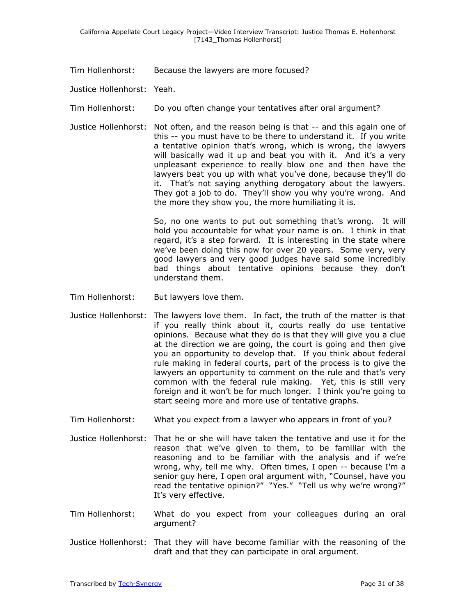Tim Hollenhorst: Because the lawyers are more focused?

Justice Hollenhorst: Yeah.

Tim Hollenhorst: Do you often change your tentatives after oral argument?

Justice Hollenhorst: Not often, and the reason being is that -- and this again one of this -- you must have to be there to understand it. If you write a tentative opinion that's wrong, which is wrong, the lawyers will basically wad it up and beat you with it. And it's a very unpleasant experience to really blow one and then have the lawyers beat you up with what you've done, because they'll do it. That's not saying anything derogatory about the lawyers. They got a job to do. They'll show you why you're wrong. And the more they show you, the more humiliating it is.

> So, no one wants to put out something that's wrong. It will hold you accountable for what your name is on. I think in that regard, it's a step forward. It is interesting in the state where we've been doing this now for over 20 years. Some very, very good lawyers and very good judges have said some incredibly bad things about tentative opinions because they don't understand them.

- Tim Hollenhorst: But lawyers love them.
- Justice Hollenhorst: The lawyers love them. In fact, the truth of the matter is that if you really think about it, courts really do use tentative opinions. Because what they do is that they will give you a clue at the direction we are going, the court is going and then give you an opportunity to develop that. If you think about federal rule making in federal courts, part of the process is to give the lawyers an opportunity to comment on the rule and that's very common with the federal rule making. Yet, this is still very foreign and it won't be for much longer. I think you're going to start seeing more and more use of tentative graphs.
- Tim Hollenhorst: What you expect from a lawyer who appears in front of you?
- Justice Hollenhorst: That he or she will have taken the tentative and use it for the reason that we've given to them, to be familiar with the reasoning and to be familiar with the analysis and if we're wrong, why, tell me why. Often times, I open -- because I'm a senior guy here, I open oral argument with, "Counsel, have you read the tentative opinion?" "Yes." "Tell us why we're wrong?" It's very effective.
- Tim Hollenhorst: What do you expect from your colleagues during an oral argument?
- Justice Hollenhorst: That they will have become familiar with the reasoning of the draft and that they can participate in oral argument.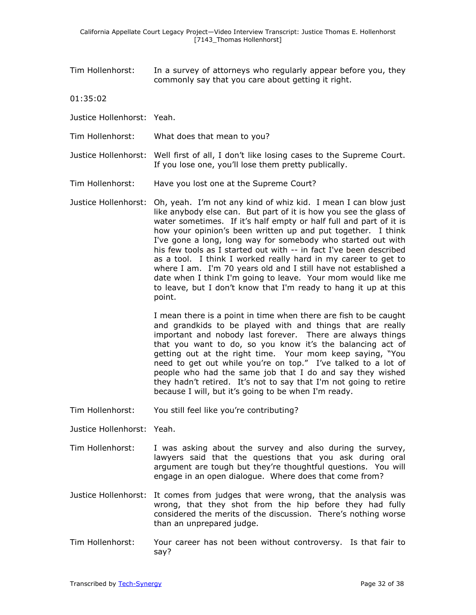Tim Hollenhorst: In a survey of attorneys who regularly appear before you, they commonly say that you care about getting it right.

01:35:02

- Justice Hollenhorst: Yeah.
- Tim Hollenhorst: What does that mean to you?
- Justice Hollenhorst: Well first of all, I don't like losing cases to the Supreme Court. If you lose one, you'll lose them pretty publically.
- Tim Hollenhorst: Have you lost one at the Supreme Court?
- Justice Hollenhorst: Oh, yeah. I'm not any kind of whiz kid. I mean I can blow just like anybody else can. But part of it is how you see the glass of water sometimes. If it's half empty or half full and part of it is how your opinion's been written up and put together. I think I've gone a long, long way for somebody who started out with his few tools as I started out with -- in fact I've been described as a tool. I think I worked really hard in my career to get to where I am. I'm 70 years old and I still have not established a date when I think I'm going to leave. Your mom would like me to leave, but I don't know that I'm ready to hang it up at this point.

I mean there is a point in time when there are fish to be caught and grandkids to be played with and things that are really important and nobody last forever. There are always things that you want to do, so you know it's the balancing act of getting out at the right time. Your mom keep saying, "You need to get out while you're on top." I've talked to a lot of people who had the same job that I do and say they wished they hadn't retired. It's not to say that I'm not going to retire because I will, but it's going to be when I'm ready.

- Tim Hollenhorst: You still feel like you're contributing?
- Justice Hollenhorst: Yeah.
- Tim Hollenhorst: I was asking about the survey and also during the survey, lawyers said that the questions that you ask during oral argument are tough but they're thoughtful questions. You will engage in an open dialogue. Where does that come from?
- Justice Hollenhorst: It comes from judges that were wrong, that the analysis was wrong, that they shot from the hip before they had fully considered the merits of the discussion. There's nothing worse than an unprepared judge.
- Tim Hollenhorst: Your career has not been without controversy. Is that fair to say?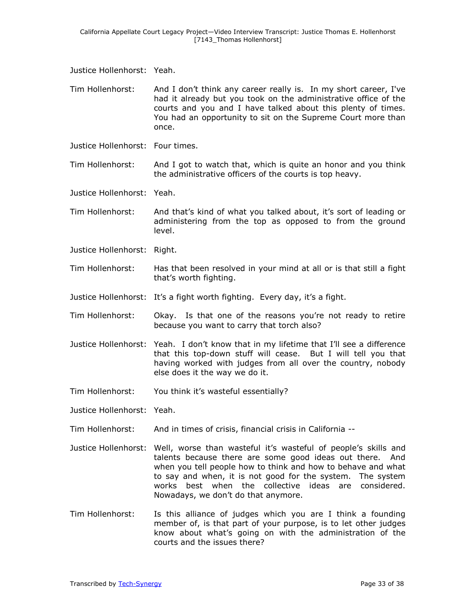Justice Hollenhorst: Yeah.

- Tim Hollenhorst: And I don't think any career really is. In my short career, I've had it already but you took on the administrative office of the courts and you and I have talked about this plenty of times. You had an opportunity to sit on the Supreme Court more than once.
- Justice Hollenhorst: Four times.
- Tim Hollenhorst: And I got to watch that, which is quite an honor and you think the administrative officers of the courts is top heavy.
- Justice Hollenhorst: Yeah.
- Tim Hollenhorst: And that's kind of what you talked about, it's sort of leading or administering from the top as opposed to from the ground level.
- Justice Hollenhorst: Right.
- Tim Hollenhorst: Has that been resolved in your mind at all or is that still a fight that's worth fighting.
- Justice Hollenhorst: It's a fight worth fighting. Every day, it's a fight.
- Tim Hollenhorst: Okay. Is that one of the reasons you're not ready to retire because you want to carry that torch also?
- Justice Hollenhorst: Yeah. I don't know that in my lifetime that I'll see a difference that this top-down stuff will cease. But I will tell you that having worked with judges from all over the country, nobody else does it the way we do it.
- Tim Hollenhorst: You think it's wasteful essentially?
- Justice Hollenhorst: Yeah.
- Tim Hollenhorst: And in times of crisis, financial crisis in California --
- Justice Hollenhorst: Well, worse than wasteful it's wasteful of people's skills and talents because there are some good ideas out there. And when you tell people how to think and how to behave and what to say and when, it is not good for the system. The system works best when the collective ideas are considered. Nowadays, we don't do that anymore.
- Tim Hollenhorst: Is this alliance of judges which you are I think a founding member of, is that part of your purpose, is to let other judges know about what's going on with the administration of the courts and the issues there?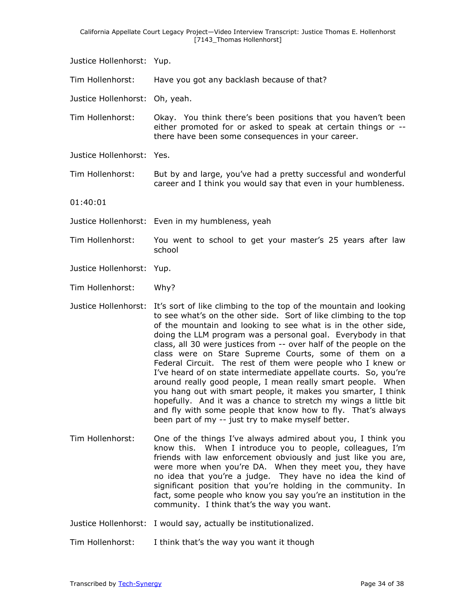Justice Hollenhorst: Yup.

Tim Hollenhorst: Have you got any backlash because of that?

Justice Hollenhorst: Oh, yeah.

Tim Hollenhorst: Okay. You think there's been positions that you haven't been either promoted for or asked to speak at certain things or - there have been some consequences in your career.

Justice Hollenhorst: Yes.

Tim Hollenhorst: But by and large, you've had a pretty successful and wonderful career and I think you would say that even in your humbleness.

01:40:01

Justice Hollenhorst: Even in my humbleness, yeah

Tim Hollenhorst: You went to school to get your master's 25 years after law school

Justice Hollenhorst: Yup.

Tim Hollenhorst: Why?

Justice Hollenhorst: It's sort of like climbing to the top of the mountain and looking to see what's on the other side. Sort of like climbing to the top of the mountain and looking to see what is in the other side, doing the LLM program was a personal goal. Everybody in that class, all 30 were justices from -- over half of the people on the class were on Stare Supreme Courts, some of them on a Federal Circuit. The rest of them were people who I knew or I've heard of on state intermediate appellate courts. So, you're around really good people, I mean really smart people. When you hang out with smart people, it makes you smarter, I think hopefully. And it was a chance to stretch my wings a little bit and fly with some people that know how to fly. That's always been part of my -- just try to make myself better.

Tim Hollenhorst: One of the things I've always admired about you, I think you know this. When I introduce you to people, colleagues, I'm friends with law enforcement obviously and just like you are, were more when you're DA. When they meet you, they have no idea that you're a judge. They have no idea the kind of significant position that you're holding in the community. In fact, some people who know you say you're an institution in the community. I think that's the way you want.

Justice Hollenhorst: I would say, actually be institutionalized.

Tim Hollenhorst: I think that's the way you want it though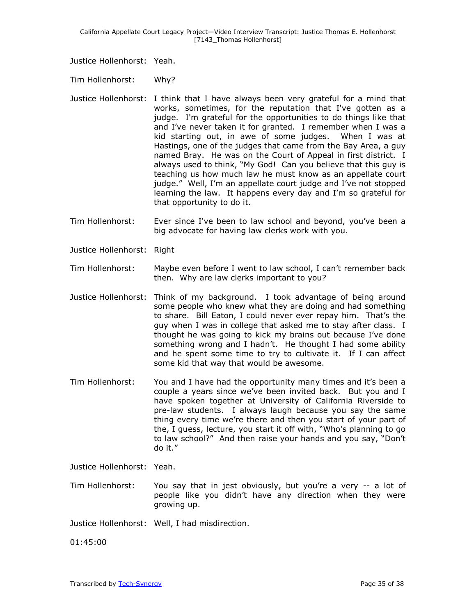Justice Hollenhorst: Yeah.

Tim Hollenhorst: Why?

- Justice Hollenhorst: I think that I have always been very grateful for a mind that works, sometimes, for the reputation that I've gotten as a judge. I'm grateful for the opportunities to do things like that and I've never taken it for granted. I remember when I was a kid starting out, in awe of some judges. When I was at Hastings, one of the judges that came from the Bay Area, a guy named Bray. He was on the Court of Appeal in first district. I always used to think, "My God! Can you believe that this guy is teaching us how much law he must know as an appellate court judge." Well, I'm an appellate court judge and I've not stopped learning the law. It happens every day and I'm so grateful for that opportunity to do it.
- Tim Hollenhorst: Ever since I've been to law school and beyond, you've been a big advocate for having law clerks work with you.
- Justice Hollenhorst: Right
- Tim Hollenhorst: Maybe even before I went to law school, I can't remember back then. Why are law clerks important to you?
- Justice Hollenhorst: Think of my background. I took advantage of being around some people who knew what they are doing and had something to share. Bill Eaton, I could never ever repay him. That's the guy when I was in college that asked me to stay after class. I thought he was going to kick my brains out because I've done something wrong and I hadn't. He thought I had some ability and he spent some time to try to cultivate it. If I can affect some kid that way that would be awesome.
- Tim Hollenhorst: You and I have had the opportunity many times and it's been a couple a years since we've been invited back. But you and I have spoken together at University of California Riverside to pre-law students. I always laugh because you say the same thing every time we're there and then you start of your part of the, I guess, lecture, you start it off with, "Who's planning to go to law school?" And then raise your hands and you say, "Don't do it."

Justice Hollenhorst: Yeah.

Tim Hollenhorst: You say that in jest obviously, but you're a very -- a lot of people like you didn't have any direction when they were growing up.

Justice Hollenhorst: Well, I had misdirection.

01:45:00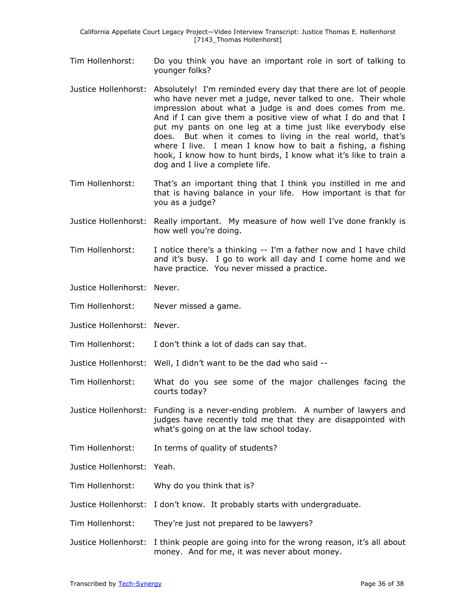- Tim Hollenhorst: Do you think you have an important role in sort of talking to younger folks?
- Justice Hollenhorst: Absolutely! I'm reminded every day that there are lot of people who have never met a judge, never talked to one. Their whole impression about what a judge is and does comes from me. And if I can give them a positive view of what I do and that I put my pants on one leg at a time just like everybody else does. But when it comes to living in the real world, that's where I live. I mean I know how to bait a fishing, a fishing hook, I know how to hunt birds, I know what it's like to train a dog and I live a complete life.
- Tim Hollenhorst: That's an important thing that I think you instilled in me and that is having balance in your life. How important is that for you as a judge?
- Justice Hollenhorst: Really important. My measure of how well I've done frankly is how well you're doing.
- Tim Hollenhorst: I notice there's a thinking -- I'm a father now and I have child and it's busy. I go to work all day and I come home and we have practice. You never missed a practice.
- Justice Hollenhorst: Never.
- Tim Hollenhorst: Never missed a game.
- Justice Hollenhorst: Never.
- Tim Hollenhorst: I don't think a lot of dads can say that.
- Justice Hollenhorst: Well, I didn't want to be the dad who said --
- Tim Hollenhorst: What do you see some of the major challenges facing the courts today?
- Justice Hollenhorst: Funding is a never-ending problem. A number of lawyers and judges have recently told me that they are disappointed with what's going on at the law school today.
- Tim Hollenhorst: In terms of quality of students?
- Justice Hollenhorst: Yeah.
- Tim Hollenhorst: Why do you think that is?
- Justice Hollenhorst: I don't know. It probably starts with undergraduate.
- Tim Hollenhorst: They're just not prepared to be lawyers?
- Justice Hollenhorst: I think people are going into for the wrong reason, it's all about money. And for me, it was never about money.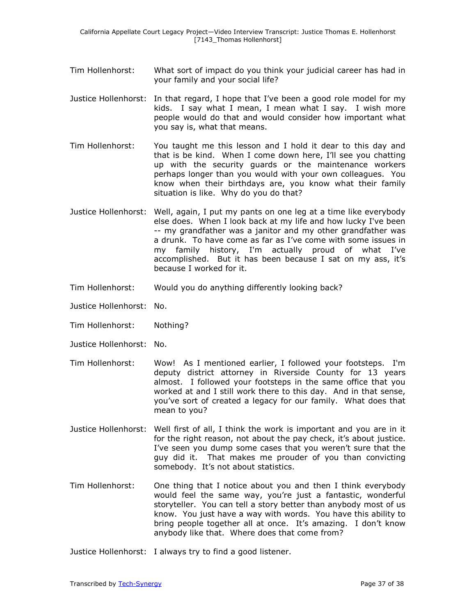- Tim Hollenhorst: What sort of impact do you think your judicial career has had in your family and your social life?
- Justice Hollenhorst: In that regard, I hope that I've been a good role model for my kids. I say what I mean, I mean what I say. I wish more people would do that and would consider how important what you say is, what that means.
- Tim Hollenhorst: You taught me this lesson and I hold it dear to this day and that is be kind. When I come down here, I'll see you chatting up with the security guards or the maintenance workers perhaps longer than you would with your own colleagues. You know when their birthdays are, you know what their family situation is like. Why do you do that?
- Justice Hollenhorst: Well, again, I put my pants on one leg at a time like everybody else does. When I look back at my life and how lucky I've been -- my grandfather was a janitor and my other grandfather was a drunk. To have come as far as I've come with some issues in my family history, I'm actually proud of what I've accomplished. But it has been because I sat on my ass, it's because I worked for it.
- Tim Hollenhorst: Would you do anything differently looking back?

Justice Hollenhorst: No.

- Tim Hollenhorst: Nothing?
- Justice Hollenhorst: No.
- Tim Hollenhorst: Wow! As I mentioned earlier, I followed your footsteps. I'm deputy district attorney in Riverside County for 13 years almost. I followed your footsteps in the same office that you worked at and I still work there to this day. And in that sense, you've sort of created a legacy for our family. What does that mean to you?
- Justice Hollenhorst: Well first of all, I think the work is important and you are in it for the right reason, not about the pay check, it's about justice. I've seen you dump some cases that you weren't sure that the guy did it. That makes me prouder of you than convicting somebody. It's not about statistics.
- Tim Hollenhorst: One thing that I notice about you and then I think everybody would feel the same way, you're just a fantastic, wonderful storyteller. You can tell a story better than anybody most of us know. You just have a way with words. You have this ability to bring people together all at once. It's amazing. I don't know anybody like that. Where does that come from?

Justice Hollenhorst: I always try to find a good listener.